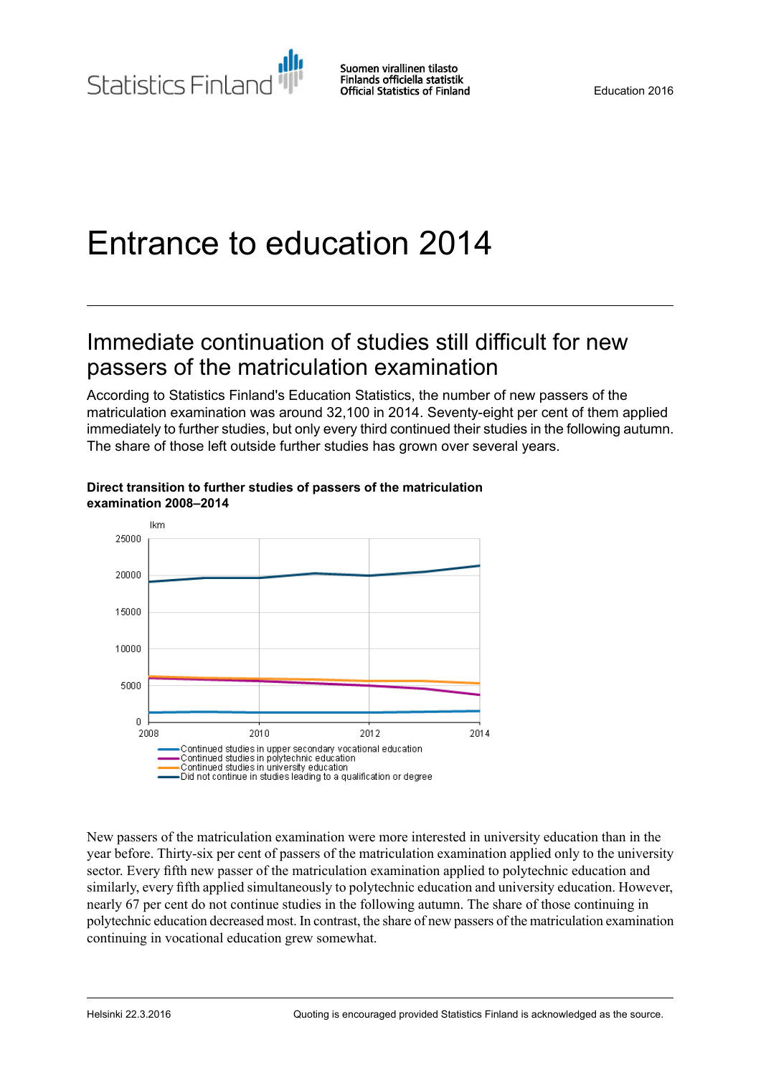# Entrance to education 2014

## Immediate continuation of studies still difficult for new passers of the matriculation examination

According to Statistics Finland's Education Statistics, the number of new passers of the matriculation examination was around 32,100 in 2014. Seventy-eight per cent of them applied immediately to further studies, but only every third continued their studies in the following autumn. The share of those left outside further studies has grown over several years.



#### **Direct transition to further studies of passers of the matriculation examination 2008–2014**

New passers of the matriculation examination were more interested in university education than in the year before. Thirty-six per cent of passers of the matriculation examination applied only to the university sector. Every fifth new passer of the matriculation examination applied to polytechnic education and similarly, every fifth applied simultaneously to polytechnic education and university education. However, nearly 67 per cent do not continue studies in the following autumn. The share of those continuing in polytechnic education decreased most. In contrast, the share of new passers of the matriculation examination continuing in vocational education grew somewhat.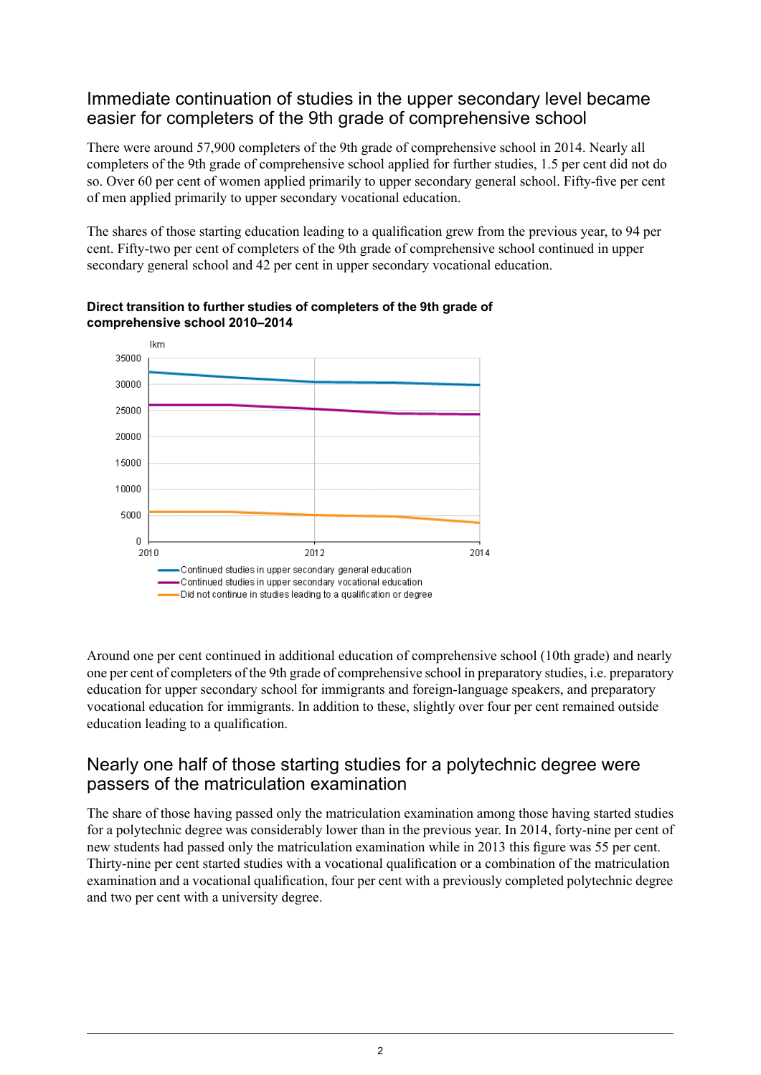### Immediate continuation of studies in the upper secondary level became easier for completers of the 9th grade of comprehensive school

There were around 57,900 completers of the 9th grade of comprehensive school in 2014. Nearly all completers of the 9th grade of comprehensive school applied for further studies, 1.5 per cent did not do so. Over 60 per cent of women applied primarily to upper secondary general school. Fifty-five per cent of men applied primarily to upper secondary vocational education.

The shares of those starting education leading to a qualification grew from the previous year, to 94 per cent. Fifty-two per cent of completers of the 9th grade of comprehensive school continued in upper secondary general school and 42 per cent in upper secondary vocational education.



**Direct transition to further studies of completers of the 9th grade of comprehensive school 2010–2014**

Around one per cent continued in additional education of comprehensive school (10th grade) and nearly one per cent of completers of the 9th grade of comprehensive school in preparatory studies, i.e. preparatory education for upper secondary school for immigrants and foreign-language speakers, and preparatory vocational education for immigrants. In addition to these, slightly over four per cent remained outside education leading to a qualification.

### Nearly one half of those starting studies for a polytechnic degree were passers of the matriculation examination

The share of those having passed only the matriculation examination among those having started studies for a polytechnic degree was considerably lower than in the previous year. In 2014, forty-nine per cent of new students had passed only the matriculation examination while in 2013 this figure was 55 per cent. Thirty-nine per cent started studies with a vocational qualification or a combination of the matriculation examination and a vocational qualification, four per cent with a previously completed polytechnic degree and two per cent with a university degree.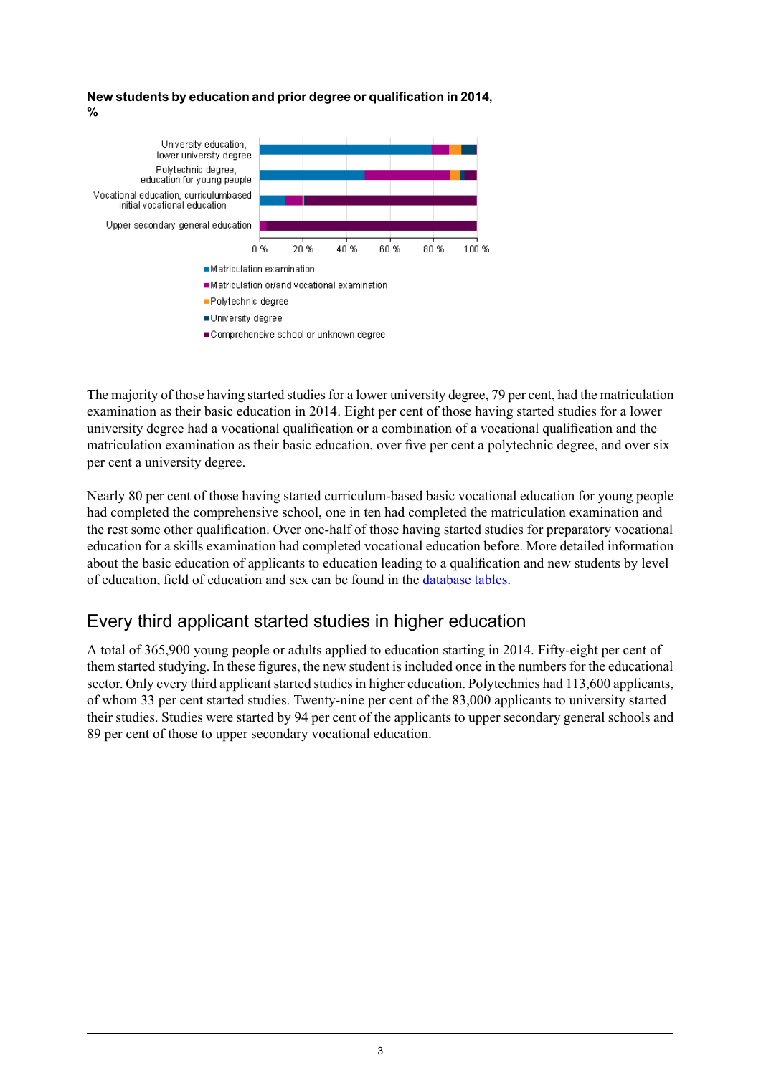#### **New students byeducation and prior degree or qualification in 2014, %**



The majority of those having started studies for a lower university degree, 79 per cent, had the matriculation examination as their basic education in 2014. Eight per cent of those having started studies for a lower university degree had a vocational qualification or a combination of a vocational qualification and the matriculation examination as their basic education, over five per cent a polytechnic degree, and over six per cent a university degree.

Nearly 80 per cent of those having started curriculum-based basic vocational education for young people had completed the comprehensive school, one in ten had completed the matriculation examination and the rest some other qualification. Over one-half of those having started studies for preparatory vocational education for a skills examination had completed vocational education before. More detailed information about the basic education of applicants to education leading to a qualification and new students by level of education, field of education and sex can be found in the [database](http://pxnet2.stat.fi/PXWeb/pxweb/en/StatFin/StatFin__kou__khak/?tablelist=true) tables.

## Every third applicant started studies in higher education

A total of 365,900 young people or adults applied to education starting in 2014. Fifty-eight per cent of them started studying. In these figures, the new student is included once in the numbers for the educational sector. Only every third applicant started studies in higher education. Polytechnics had 113,600 applicants, of whom 33 per cent started studies. Twenty-nine per cent of the 83,000 applicants to university started their studies. Studies were started by 94 per cent of the applicants to upper secondary general schools and 89 per cent of those to upper secondary vocational education.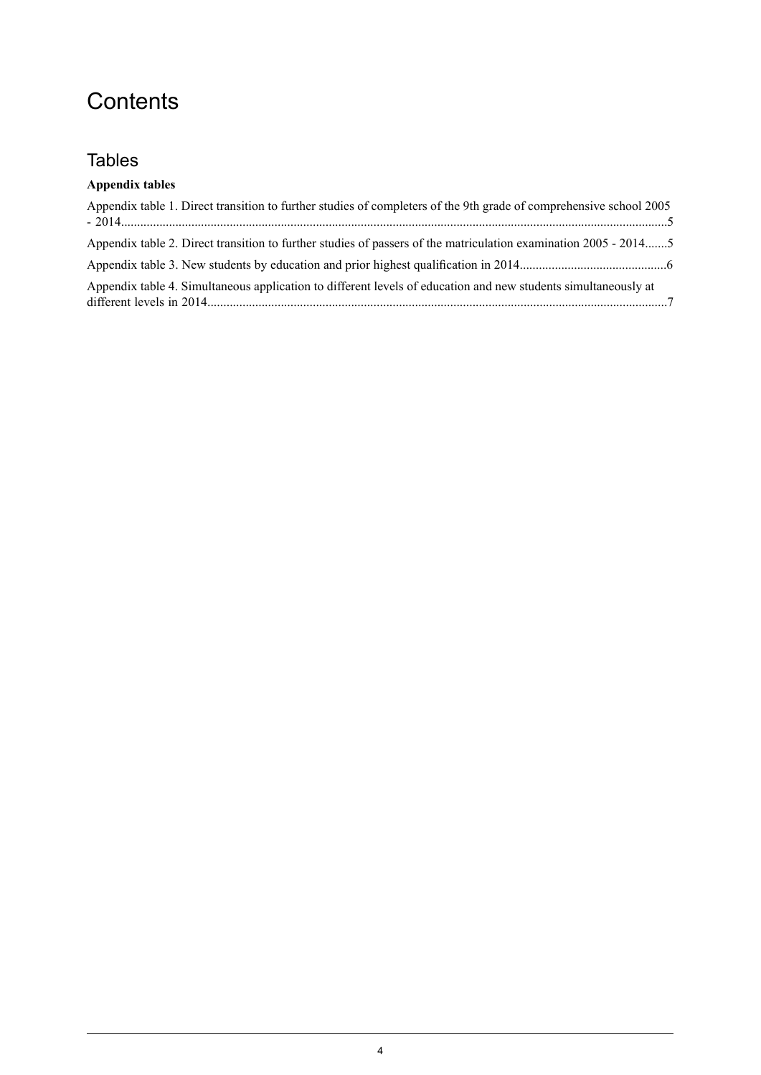## **Contents**

## Tables

| Appendix table 1. Direct transition to further studies of completers of the 9th grade of comprehensive school 2005 |  |
|--------------------------------------------------------------------------------------------------------------------|--|
| Appendix table 2. Direct transition to further studies of passers of the matriculation examination 2005 - 20145    |  |
|                                                                                                                    |  |
| Appendix table 4. Simultaneous application to different levels of education and new students simultaneously at     |  |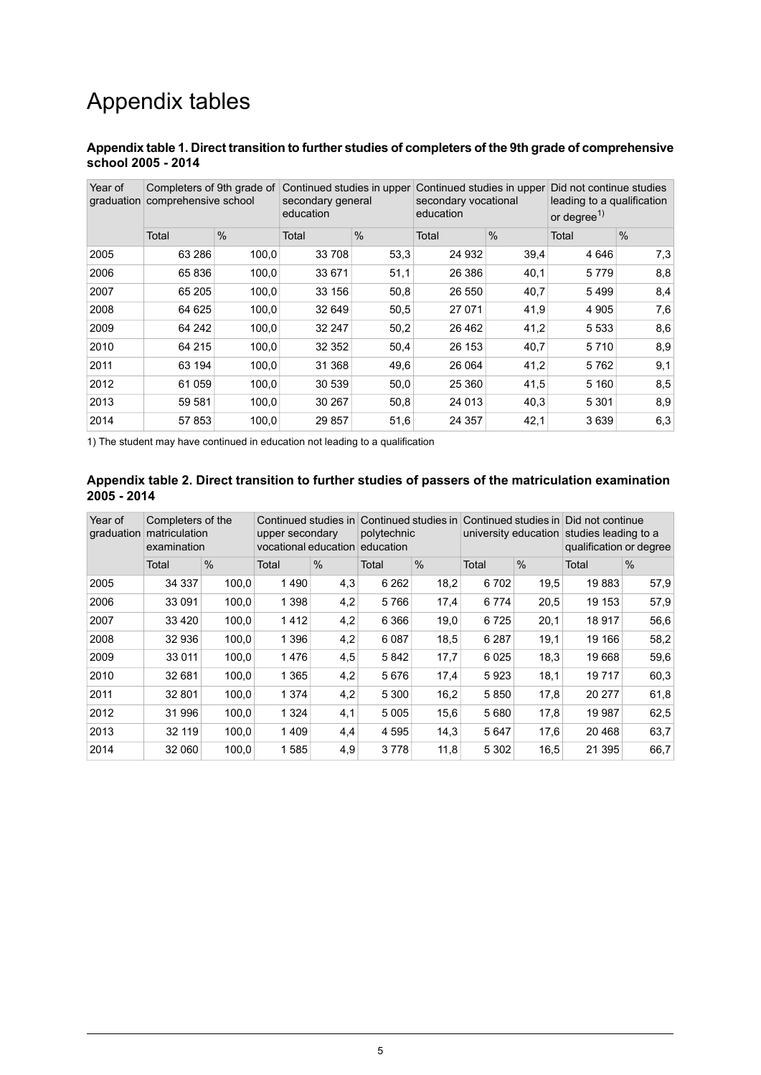## Appendix tables

#### <span id="page-4-0"></span>**Appendixtable1. Direct transition to furtherstudies ofcompleters of the9th grade ofcomprehensive school 2005 - 2014**

| Year of<br>graduation | Completers of 9th grade of<br>comprehensive school |               | Continued studies in upper<br>secondary general<br>education |               | Continued studies in upper<br>secondary vocational<br>education |               | Did not continue studies<br>leading to a qualification<br>or degree $1$ |               |  |
|-----------------------|----------------------------------------------------|---------------|--------------------------------------------------------------|---------------|-----------------------------------------------------------------|---------------|-------------------------------------------------------------------------|---------------|--|
|                       | Total                                              | $\frac{0}{0}$ | Total                                                        | $\frac{0}{0}$ | Total                                                           | $\frac{0}{0}$ | Total                                                                   | $\frac{0}{0}$ |  |
| 2005                  | 63 286                                             | 100,0         | 33 708                                                       | 53,3          | 24 932                                                          | 39,4          | 4 6 4 6                                                                 | 7,3           |  |
| 2006                  | 65 836                                             | 100,0         | 33 671                                                       | 51,1          | 26 38 6                                                         | 40,1          | 5779                                                                    | 8,8           |  |
| 2007                  | 65 205                                             | 100,0         | 33 156                                                       | 50,8          | 26 550                                                          | 40,7          | 5499                                                                    | 8,4           |  |
| 2008                  | 64 625                                             | 100,0         | 32 649                                                       | 50,5          | 27 071                                                          | 41,9          | 4 9 0 5                                                                 | 7,6           |  |
| 2009                  | 64 242                                             | 100,0         | 32 247                                                       | 50,2          | 26 4 62                                                         | 41,2          | 5 5 3 3                                                                 | 8,6           |  |
| 2010                  | 64 215                                             | 100,0         | 32 352                                                       | 50,4          | 26 153                                                          | 40,7          | 5710                                                                    | 8,9           |  |
| 2011                  | 63 194                                             | 100,0         | 31 368                                                       | 49,6          | 26 064                                                          | 41,2          | 5762                                                                    | 9,1           |  |
| 2012                  | 61 059                                             | 100,0         | 30 539                                                       | 50,0          | 25 360                                                          | 41,5          | 5 1 6 0                                                                 | 8,5           |  |
| 2013                  | 59 581                                             | 100,0         | 30 267                                                       | 50,8          | 24 0 13                                                         | 40,3          | 5 3 0 1                                                                 | 8,9           |  |
| 2014                  | 57 853                                             | 100,0         | 29 857                                                       | 51,6          | 24 357                                                          | 42,1          | 3639                                                                    | 6,3           |  |

<span id="page-4-1"></span>1) The student may have continued in education not leading to a qualification

#### **Appendix table 2. Direct transition to further studies of passers of the matriculation examination 2005 - 2014**

| Year of<br>graduation | Completers of the<br>matriculation<br>examination |               | Continued studies in<br>upper secondary<br>vocational education |               | Continued studies in<br>polytechnic<br>education |               | Continued studies in<br>university education |               | Did not continue<br>studies leading to a<br>qualification or degree |               |  |
|-----------------------|---------------------------------------------------|---------------|-----------------------------------------------------------------|---------------|--------------------------------------------------|---------------|----------------------------------------------|---------------|---------------------------------------------------------------------|---------------|--|
|                       | Total                                             | $\frac{0}{0}$ | Total                                                           | $\frac{0}{0}$ | Total                                            | $\frac{0}{0}$ | Total                                        | $\frac{0}{0}$ | Total                                                               | $\frac{0}{0}$ |  |
| 2005                  | 34 337                                            | 100,0         | 1490                                                            | 4,3           | 6 2 6 2                                          | 18,2          | 6702                                         | 19,5          | 19883                                                               | 57,9          |  |
| 2006                  | 33 091                                            | 100,0         | 1 3 9 8                                                         | 4,2           | 5766                                             | 17,4          | 6774                                         | 20,5          | 19 153                                                              | 57,9          |  |
| 2007                  | 33 4 20                                           | 100,0         | 1412                                                            | 4,2           | 6 3 6 6                                          | 19,0          | 6725                                         | 20,1          | 18917                                                               | 56,6          |  |
| 2008                  | 32 936                                            | 100,0         | 1 3 9 6                                                         | 4,2           | 6 0 8 7                                          | 18,5          | 6 2 8 7                                      | 19,1          | 19 166                                                              | 58,2          |  |
| 2009                  | 33 0 11                                           | 100,0         | 1476                                                            | 4,5           | 5842                                             | 17,7          | 6025                                         | 18,3          | 19668                                                               | 59,6          |  |
| 2010                  | 32 681                                            | 100,0         | 1 3 6 5                                                         | 4,2           | 5676                                             | 17,4          | 5923                                         | 18,1          | 19717                                                               | 60,3          |  |
| 2011                  | 32 801                                            | 100,0         | 1 3 7 4                                                         | 4,2           | 5 3 0 0                                          | 16,2          | 5850                                         | 17,8          | 20 277                                                              | 61,8          |  |
| 2012                  | 31 996                                            | 100,0         | 1 3 2 4                                                         | 4,1           | 5 0 0 5                                          | 15,6          | 5680                                         | 17,8          | 19 987                                                              | 62,5          |  |
| 2013                  | 32 119                                            | 100,0         | 1409                                                            | 4,4           | 4 5 9 5                                          | 14,3          | 5647                                         | 17,6          | 20 4 68                                                             | 63,7          |  |
| 2014                  | 32 060                                            | 100,0         | 1585                                                            | 4,9           | 3778                                             | 11,8          | 5 3 0 2                                      | 16,5          | 21 3 95                                                             | 66,7          |  |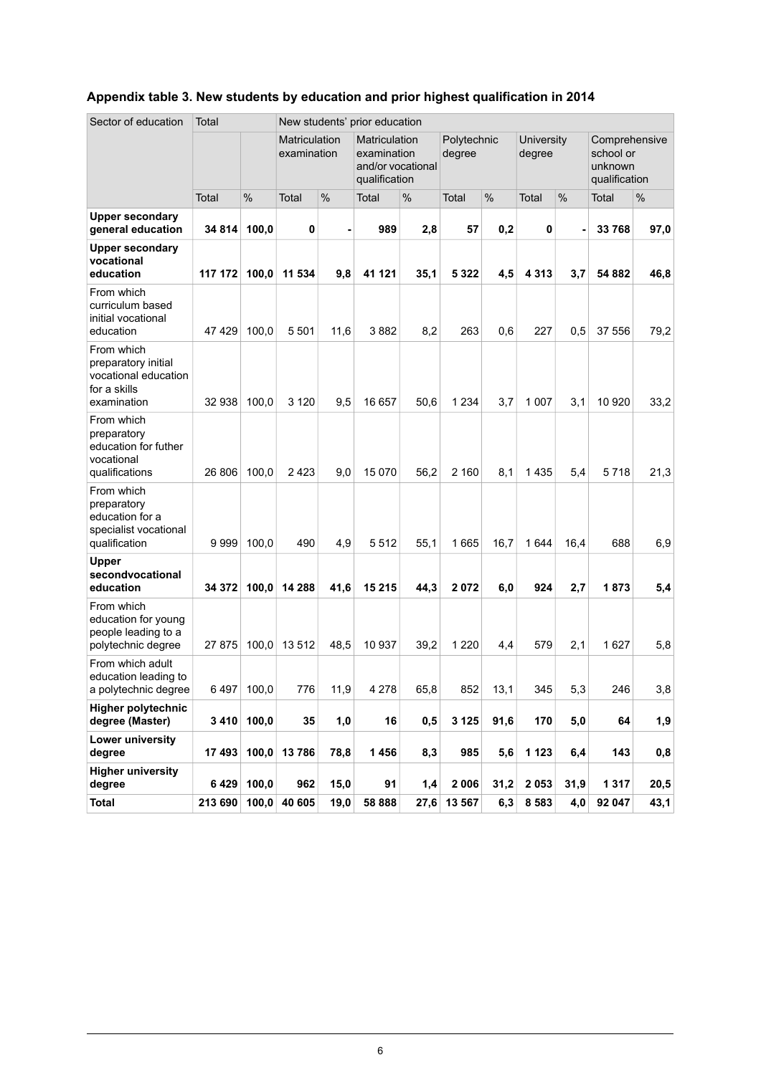| Sector of education                                                                      | Total   |               |                              |      | New students' prior education                                             |               |                       |               |                             |               |                                                        |      |
|------------------------------------------------------------------------------------------|---------|---------------|------------------------------|------|---------------------------------------------------------------------------|---------------|-----------------------|---------------|-----------------------------|---------------|--------------------------------------------------------|------|
|                                                                                          |         |               | Matriculation<br>examination |      | <b>Matriculation</b><br>examination<br>and/or vocational<br>qualification |               | Polytechnic<br>degree |               | <b>University</b><br>degree |               | Comprehensive<br>school or<br>unknown<br>qualification |      |
|                                                                                          | Total   | $\frac{0}{0}$ | Total                        | %    | Total                                                                     | $\frac{0}{0}$ | Total                 | $\frac{0}{0}$ | Total                       | $\frac{0}{0}$ | Total                                                  | %    |
| <b>Upper secondary</b><br>general education                                              | 34 814  | 100,0         | 0                            |      | 989                                                                       | 2,8           | 57                    | 0,2           | 0                           |               | 33 768                                                 | 97,0 |
| <b>Upper secondary</b><br>vocational<br>education                                        | 117 172 | 100,0         | 11 534                       | 9,8  | 41 121                                                                    | 35,1          | 5 3 2 2               | 4,5           | 4 3 1 3                     | 3,7           | 54 882                                                 | 46,8 |
| From which<br>curriculum based<br>initial vocational<br>education                        | 47429   | 100,0         | 5 5 0 1                      | 11,6 | 3882                                                                      | 8,2           | 263                   | 0,6           | 227                         | 0,5           | 37 556                                                 | 79,2 |
| From which<br>preparatory initial<br>vocational education<br>for a skills<br>examination | 32 938  | 100,0         | 3 1 2 0                      | 9,5  | 16 657                                                                    | 50,6          | 1 2 3 4               | 3,7           | 1 0 0 7                     | 3,1           | 10 920                                                 | 33,2 |
| From which<br>preparatory<br>education for futher<br>vocational<br>qualifications        | 26 806  | 100,0         | 2423                         | 9,0  | 15 0 70                                                                   | 56,2          | 2 160                 | 8,1           | 1435                        | 5,4           | 5718                                                   | 21,3 |
| From which<br>preparatory<br>education for a<br>specialist vocational<br>qualification   | 9999    | 100,0         | 490                          | 4,9  | 5512                                                                      | 55,1          | 1665                  | 16,7          | 1 6 4 4                     | 16,4          | 688                                                    | 6,9  |
| Upper<br>secondvocational<br>education                                                   | 34 372  | 100,0         | 14 288                       | 41,6 | 15 215                                                                    | 44,3          | 2072                  | 6,0           | 924                         | 2,7           | 1873                                                   | 5,4  |
| From which<br>education for young<br>people leading to a<br>polytechnic degree           | 27875   | 100,0         | 13512                        | 48,5 | 10 937                                                                    | 39,2          | 1 2 2 0               | 4,4           | 579                         | 2,1           | 1627                                                   | 5,8  |
| From which adult<br>education leading to<br>a polytechnic degree                         | 6497    | 100,0         | 776                          | 11,9 | 4 2 7 8                                                                   | 65,8          | 852                   | 13,1          | 345                         | 5,3           | 246                                                    | 3,8  |
| <b>Higher polytechnic</b><br>degree (Master)                                             | 3410    | 100,0         | 35                           | 1,0  | 16                                                                        | 0,5           | 3 1 2 5               | 91,6          | 170                         | 5,0           | 64                                                     | 1,9  |
| Lower university<br>degree                                                               | 17 493  | 100,0         | 13786                        | 78,8 | 1456                                                                      | 8,3           | 985                   | 5,6           | 1 1 2 3                     | 6,4           | 143                                                    | 0,8  |
| <b>Higher university</b><br>degree                                                       | 6429    | 100,0         | 962                          | 15,0 | 91                                                                        | 1,4           | 2006                  | 31,2          | 2 0 5 3                     | 31,9          | 1 3 1 7                                                | 20,5 |
| <b>Total</b>                                                                             | 213 690 | 100,0         | 40 605                       | 19,0 | 58 888                                                                    | 27,6          | 13 567                | 6,3           | 8 5 8 3                     | 4,0           | 92 047                                                 | 43,1 |

### <span id="page-5-0"></span>**Appendix table 3. New students by education and prior highest qualification in 2014**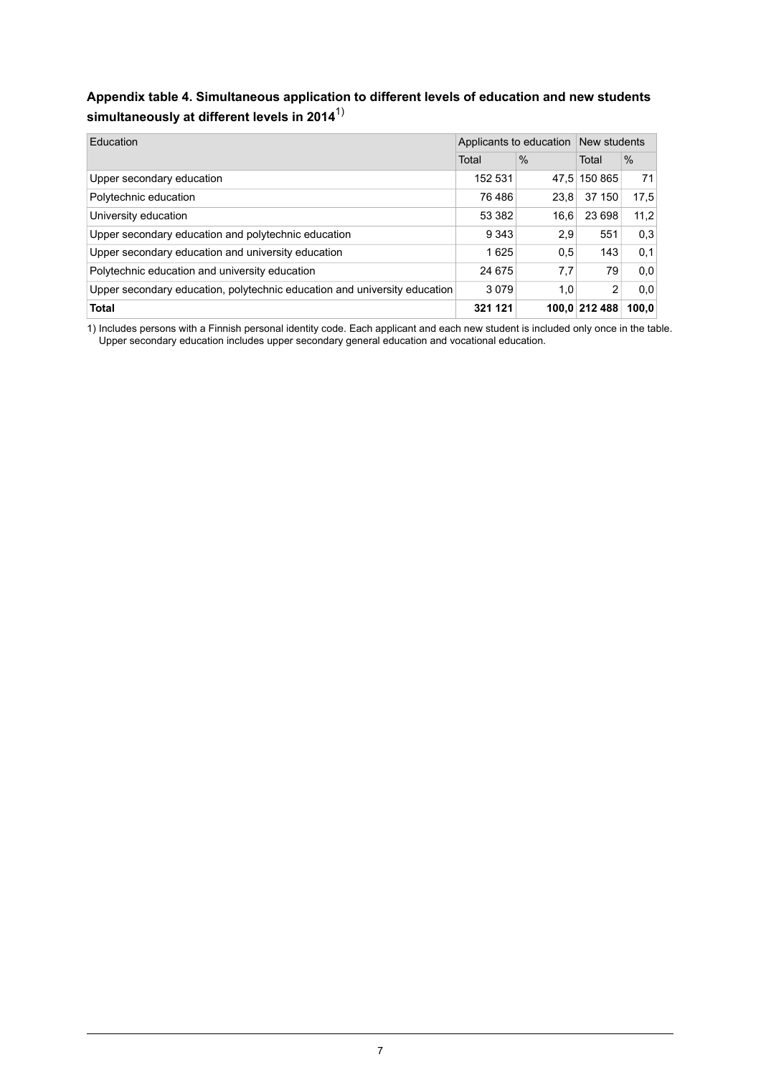### <span id="page-6-0"></span>**Appendix table 4. Simultaneous application to different levels of education and new students simultaneously at different levels in 2014**1)

| Education                                                                 | Applicants to education | New students  |               |               |
|---------------------------------------------------------------------------|-------------------------|---------------|---------------|---------------|
|                                                                           | Total                   | $\frac{9}{6}$ | Total         | $\frac{0}{0}$ |
| Upper secondary education                                                 | 152 531                 | 47.5          | 150 865       | 71            |
| Polytechnic education                                                     | 76 486                  | 23.8          | 37 150        | 17.5          |
| University education                                                      | 53 382                  | 16.6          | 23 698        | 11,2          |
| Upper secondary education and polytechnic education                       | 9 3 4 3                 | 2.9           | 551           | 0,3           |
| Upper secondary education and university education                        | 1625                    | 0.5           | 143           | 0,1           |
| Polytechnic education and university education                            | 24 675                  | 7,7           | 79            | 0,0           |
| Upper secondary education, polytechnic education and university education | 3079                    | 1.0           | 2             | 0,0           |
| <b>Total</b>                                                              | 321 121                 |               | 100,0 212 488 | 100.0         |

Includes persons with a Finnish personal identity code. Each applicant and each new student is included only once in the table. Upper secondary education includes upper secondary general education and vocational education. 1)